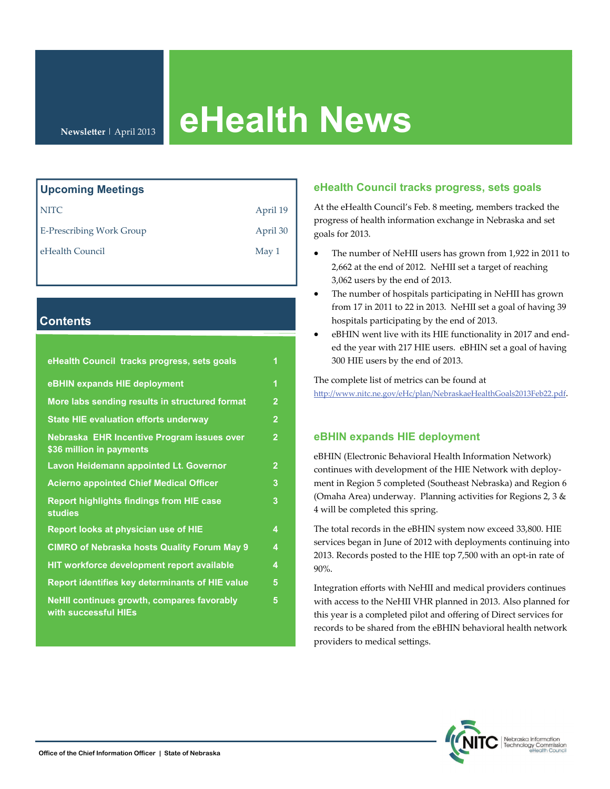# **eHealth News**

**Newsletter** | April 2013

| Upcoming Meetings               |                  |
|---------------------------------|------------------|
| <b>NITC</b>                     | April 19         |
| <b>E-Prescribing Work Group</b> | April 30         |
| eHealth Council                 | May <sub>1</sub> |

# **Contents**

| eHealth Council tracks progress, sets goals                            | 1              |
|------------------------------------------------------------------------|----------------|
| eBHIN expands HIE deployment                                           | 1              |
| More labs sending results in structured format                         | $\overline{2}$ |
| <b>State HIE evaluation efforts underway</b>                           | $\overline{2}$ |
| Nebraska EHR Incentive Program issues over<br>\$36 million in payments | $\overline{2}$ |
| Lavon Heidemann appointed Lt. Governor                                 | $\overline{2}$ |
| <b>Acierno appointed Chief Medical Officer</b>                         | 3              |
| <b>Report highlights findings from HIE case</b><br><b>studies</b>      | 3              |
| Report looks at physician use of HIE                                   | 4              |
| <b>CIMRO of Nebraska hosts Quality Forum May 9</b>                     | 4              |
| HIT workforce development report available                             | 4              |
| Report identifies key determinants of HIE value                        | 5              |
| NeHII continues growth, compares favorably<br>with successful HIEs     | 5              |

## **eHealth Council tracks progress, sets goals**

At the eHealth Council's Feb. 8 meeting, members tracked the progress of health information exchange in Nebraska and set goals for 2013.

- The number of NeHII users has grown from 1,922 in 2011 to 2,662 at the end of 2012. NeHII set a target of reaching 3,062 users by the end of 2013.
- The number of hospitals participating in NeHII has grown from 17 in 2011 to 22 in 2013. NeHII set a goal of having 39 hospitals participating by the end of 2013.
- eBHIN went live with its HIE functionality in 2017 and end‐ ed the year with 217 HIE users. eBHIN set a goal of having 300 HIE users by the end of 2013.

The complete list of metrics can be found at htt[p://www.nitc.ne.gov/eHc/plan/NebraskaeHealthGoals2013Feb22.pdf](http://www.nitc.ne.gov/eHc/plan/NebraskaeHealthGoals2013Feb22.pdf).

## **eBHIN expands HIE deployment**

eBHIN (Electronic Behavioral Health Information Network) continues with development of the HIE Network with deploy‐ ment in Region 5 completed (Southeast Nebraska) and Region 6 (Omaha Area) underway. Planning activities for Regions 2, 3  $\&$ 4 will be completed this spring.

The total records in the eBHIN system now exceed 33,800. HIE services began in June of 2012 with deployments continuing into 2013. Records posted to the HIE top 7,500 with an opt‐in rate of 90%.

Integration efforts with NeHII and medical providers continues with access to the NeHII VHR planned in 2013. Also planned for this year is a completed pilot and offering of Direct services for records to be shared from the eBHIN behavioral health network providers to medical settings.

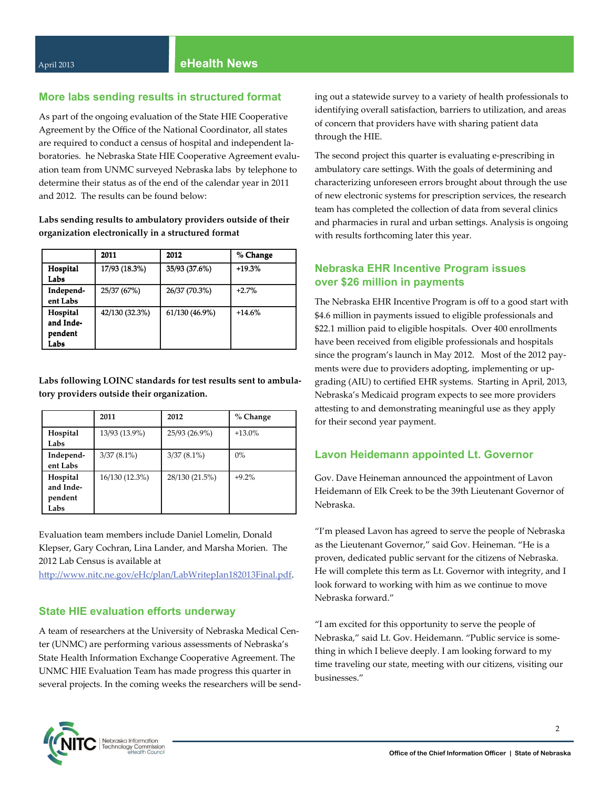#### **More labs sending results in structured format**

As part of the ongoing evaluation of the State HIE Cooperative Agreement by the Office of the National Coordinator, all states are required to conduct a census of hospital and independent la‐ boratories. he Nebraska State HIE Cooperative Agreement evaluation team from UNMC surveyed Nebraska labs by telephone to determine their status as of the end of the calendar year in 2011 and 2012. The results can be found below:

**Labs sending results to ambulatory providers outside of their organization electronically in a structured format**

|                                                 | 2011           | 2012           | % Change |
|-------------------------------------------------|----------------|----------------|----------|
| Hospital<br>Labs                                | 17/93 (18.3%)  | 35/93 (37.6%)  | $+19.3%$ |
| Independ-<br>ent Labs                           | 25/37 (67%)    | 26/37 (70.3%)  | $+2.7%$  |
| <b>Hospital</b><br>and Inde-<br>pendent<br>Labs | 42/130 (32.3%) | 61/130 (46.9%) | $+14.6%$ |

**Labs following LOINC standards for test results sent to ambula‐ tory providers outside their organization.**

|           | 2011           | 2012           | $%$ Change |
|-----------|----------------|----------------|------------|
| Hospital  | 13/93 (13.9%)  | 25/93 (26.9%)  | $+13.0\%$  |
| Labs      |                |                |            |
| Independ- | $3/37(8.1\%)$  | $3/37(8.1\%)$  | $0\%$      |
| ent Labs  |                |                |            |
| Hospital  | 16/130 (12.3%) | 28/130 (21.5%) | $+9.2%$    |
| and Inde- |                |                |            |
| pendent   |                |                |            |
| Labs      |                |                |            |

Evaluation team members include Daniel Lomelin, Donald Klepser, Gary Cochran, Lina Lander, and Marsha Morien. The 2012 Lab Census is available at

htt[p://www.nitc.ne.gov/eHc/plan/LabWritepJan182013Final.pdf](http://www.nitc.ne.gov/eHc/plan/LabWritepJan182013Final.pdf).

### **State HIE evaluation efforts underway**

A team of researchers at the University of Nebraska Medical Cen‐ ter (UNMC) are performing various assessments of Nebraska's State Health Information Exchange Cooperative Agreement. The UNMC HIE Evaluation Team has made progress this quarter in several projects. In the coming weeks the researchers will be send‐ ing out a statewide survey to a variety of health professionals to identifying overall satisfaction, barriers to utilization, and areas of concern that providers have with sharing patient data through the HIE.

The second project this quarter is evaluating e‐prescribing in ambulatory care settings. With the goals of determining and characterizing unforeseen errors brought about through the use of new electronic systems for prescription services, the research team has completed the collection of data from several clinics and pharmacies in rural and urban settings. Analysis is ongoing with results forthcoming later this year.

## **Nebraska EHR Incentive Program issues over \$26 million in payments**

The Nebraska EHR Incentive Program is off to a good start with \$4.6 million in payments issued to eligible professionals and \$22.1 million paid to eligible hospitals. Over 400 enrollments have been received from eligible professionals and hospitals since the program's launch in May 2012. Most of the 2012 payments were due to providers adopting, implementing or up‐ grading (AIU) to certified EHR systems. Starting in April, 2013, Nebraska's Medicaid program expects to see more providers attesting to and demonstrating meaningful use as they apply for their second year payment.

#### **Lavon Heidemann appointed Lt. Governor**

Gov. Dave Heineman announced the appointment of Lavon Heidemann of Elk Creek to be the 39th Lieutenant Governor of Nebraska.

"I'm pleased Lavon has agreed to serve the people of Nebraska as the Lieutenant Governor," said Gov. Heineman. "He is a proven, dedicated public servant for the citizens of Nebraska. He will complete this term as Lt. Governor with integrity, and I look forward to working with him as we continue to move Nebraska forward."

"I am excited for this opportunity to serve the people of Nebraska," said Lt. Gov. Heidemann. "Public service is some‐ thing in which I believe deeply. I am looking forward to my time traveling our state, meeting with our citizens, visiting our businesses."

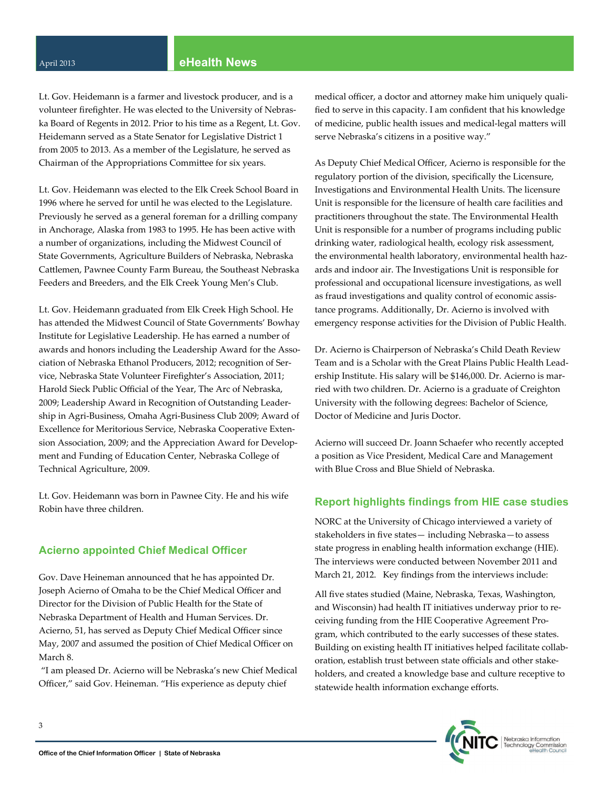#### April <sup>2013</sup> **eHealth News**

Lt. Gov. Heidemann is a farmer and livestock producer, and is a volunteer firefighter. He was elected to the University of Nebras‐ ka Board of Regents in 2012. Prior to his time as a Regent, Lt. Gov. Heidemann served as a State Senator for Legislative District 1 from 2005 to 2013. As a member of the Legislature, he served as Chairman of the Appropriations Committee for six years.

Lt. Gov. Heidemann was elected to the Elk Creek School Board in 1996 where he served for until he was elected to the Legislature. Previously he served as a general foreman for a drilling company in Anchorage, Alaska from 1983 to 1995. He has been active with a number of organizations, including the Midwest Council of State Governments, Agriculture Builders of Nebraska, Nebraska Cattlemen, Pawnee County Farm Bureau, the Southeast Nebraska Feeders and Breeders, and the Elk Creek Young Men's Club.

Lt. Gov. Heidemann graduated from Elk Creek High School. He has attended the Midwest Council of State Governments' Bowhay Institute for Legislative Leadership. He has earned a number of awards and honors including the Leadership Award for the Association of Nebraska Ethanol Producers, 2012; recognition of Ser‐ vice, Nebraska State Volunteer Firefighter's Association, 2011; Harold Sieck Public Official of the Year, The Arc of Nebraska, 2009; Leadership Award in Recognition of Outstanding Leader‐ ship in Agri‐Business, Omaha Agri‐Business Club 2009; Award of Excellence for Meritorious Service, Nebraska Cooperative Exten‐ sion Association, 2009; and the Appreciation Award for Development and Funding of Education Center, Nebraska College of Technical Agriculture, 2009.

Lt. Gov. Heidemann was born in Pawnee City. He and his wife Robin have three children.

#### **Acierno appointed Chief Medical Officer**

Gov. Dave Heineman announced that he has appointed Dr. Joseph Acierno of Omaha to be the Chief Medical Officer and Director for the Division of Public Health for the State of Nebraska Department of Health and Human Services. Dr. Acierno, 51, has served as Deputy Chief Medical Officer since May, 2007 and assumed the position of Chief Medical Officer on March 8.

"I am pleased Dr. Acierno will be Nebraska's new Chief Medical Officer," said Gov. Heineman. "His experience as deputy chief

medical officer, a doctor and attorney make him uniquely qualified to serve in this capacity. I am confident that his knowledge of medicine, public health issues and medical‐legal matters will serve Nebraska's citizens in a positive way."

As Deputy Chief Medical Officer, Acierno is responsible for the regulatory portion of the division, specifically the Licensure, Investigations and Environmental Health Units. The licensure Unit is responsible for the licensure of health care facilities and practitioners throughout the state. The Environmental Health Unit is responsible for a number of programs including public drinking water, radiological health, ecology risk assessment, the environmental health laboratory, environmental health hazards and indoor air. The Investigations Unit is responsible for professional and occupational licensure investigations, as well as fraud investigations and quality control of economic assis‐ tance programs. Additionally, Dr. Acierno is involved with emergency response activities for the Division of Public Health.

Dr. Acierno is Chairperson of Nebraska's Child Death Review Team and is a Scholar with the Great Plains Public Health Lead‐ ership Institute. His salary will be \$146,000. Dr. Acierno is married with two children. Dr. Acierno is a graduate of Creighton University with the following degrees: Bachelor of Science, Doctor of Medicine and Juris Doctor.

Acierno will succeed Dr. Joann Schaefer who recently accepted a position as Vice President, Medical Care and Management with Blue Cross and Blue Shield of Nebraska.

#### **Report highlights findings from HIE case studies**

NORC at the University of Chicago interviewed a variety of stakeholders in five states— including Nebraska—to assess state progress in enabling health information exchange (HIE). The interviews were conducted between November 2011 and March 21, 2012. Key findings from the interviews include:

All five states studied (Maine, Nebraska, Texas, Washington, and Wisconsin) had health IT initiatives underway prior to re‐ ceiving funding from the HIE Cooperative Agreement Pro‐ gram, which contributed to the early successes of these states. Building on existing health IT initiatives helped facilitate collab‐ oration, establish trust between state officials and other stake‐ holders, and created a knowledge base and culture receptive to statewide health information exchange efforts.

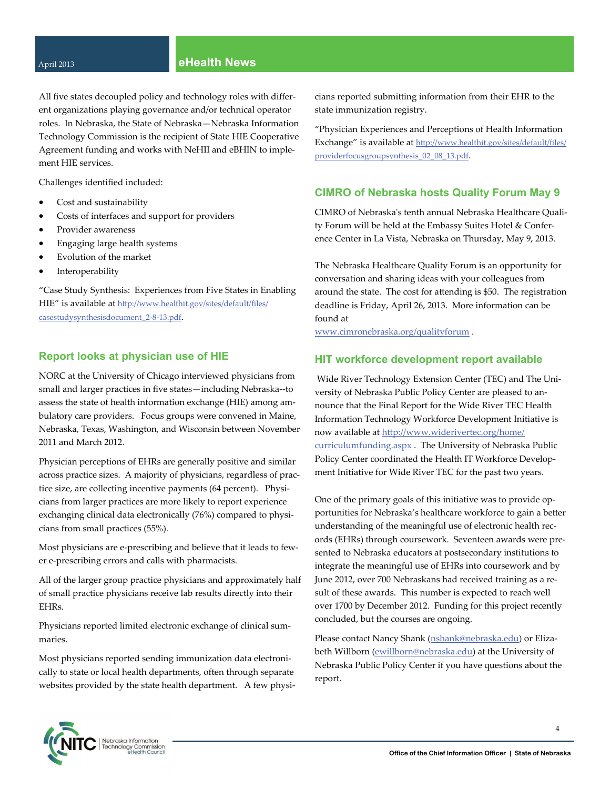#### April <sup>2013</sup> **eHealth News**

All five states decoupled policy and technology roles with differ‐ ent organizations playing governance and/or technical operator roles. In Nebraska, the State of Nebraska—Nebraska Information Technology Commission is the recipient of State HIE Cooperative Agreement funding and works with NeHII and eBHIN to imple‐ ment HIE services.

Challenges identified included:

- Cost and sustainability
- Costs of interfaces and support for providers
- Provider awareness
- Engaging large health systems
- Evolution of the market
- Interoperability

"Case Study Synthesis: Experiences from Five States in Enabling HIE" is available at htt[p://www.healthit.gov/sites/default/files/](http://www.healthit.gov/sites/default/files/casestudysynthesisdocument_2-8-13.pdf) [casestudysynthesisdocument\\_2](http://www.healthit.gov/sites/default/files/casestudysynthesisdocument_2-8-13.pdf)-8-13.pdf.

#### **Report looks at physician use of HIE**

NORC at the University of Chicago interviewed physicians from small and larger practices in five states—including Nebraska--to assess the state of health information exchange (HIE) among am‐ bulatory care providers. Focus groups were convened in Maine, Nebraska, Texas, Washington, and Wisconsin between November 2011 and March 2012.

Physician perceptions of EHRs are generally positive and similar across practice sizes. A majority of physicians, regardless of prac‐ tice size, are collecting incentive payments (64 percent). Physicians from larger practices are more likely to report experience exchanging clinical data electronically (76%) compared to physicians from small practices (55%).

Most physicians are e‐prescribing and believe that it leads to few‐ er e‐prescribing errors and calls with pharmacists.

All of the larger group practice physicians and approximately half of small practice physicians receive lab results directly into their EHRs.

Physicians reported limited electronic exchange of clinical sum‐ maries.

Most physicians reported sending immunization data electroni‐ cally to state or local health departments, often through separate websites provided by the state health department. A few physicians reported submitting information from their EHR to the state immunization registry.

"Physician Experiences and Perceptions of Health Information Exchange" is available at htt[p://www.healthit.gov/sites/default/files/](http://www.healthit.gov/sites/default/files/providerfocusgroupsynthesis_02_08_13.pdf) [providerfocusgroupsynthesis\\_02\\_08\\_13.pdf.](http://www.healthit.gov/sites/default/files/providerfocusgroupsynthesis_02_08_13.pdf)

#### **CIMRO of Nebraska hosts Quality Forum May 9**

CIMRO of Nebraskaʹs tenth annual Nebraska Healthcare Quali‐ ty Forum will be held at the Embassy Suites Hotel & Confer‐ ence Center in La Vista, Nebraska on Thursday, May 9, 2013.

The Nebraska Healthcare Quality Forum is an opportunity for conversation and sharing ideas with your colleagues from around the state. The cost for attending is \$50. The registration deadline is Friday, April 26, 2013. More information can be found at

[www.cimronebraska.org/qualityforum](http://www.cimronebraska.org/qualityforum) .

#### **HIT workforce development report available**

Wide River Technology Extension Center (TEC) and The Uni‐ versity of Nebraska Public Policy Center are pleased to an‐ nounce that the Final Report for the Wide River TEC Health Information Technology Workforce Development Initiative is now available at htt[p://www.widerivertec.org/home/](http://www.widerivertec.org/home/curriculumfunding.aspx) [curriculumfunding.aspx](http://www.widerivertec.org/home/curriculumfunding.aspx) . The University of Nebraska Public Policy Center coordinated the Health IT Workforce Develop‐ ment Initiative for Wide River TEC for the past two years.

One of the primary goals of this initiative was to provide op‐ portunities for Nebraska's healthcare workforce to gain a better understanding of the meaningful use of electronic health records (EHRs) through coursework. Seventeen awards were pre‐ sented to Nebraska educators at postsecondary institutions to integrate the meaningful use of EHRs into coursework and by June 2012, over 700 Nebraskans had received training as a re‐ sult of these awards. This number is expected to reach well over 1700 by December 2012. Funding for this project recently concluded, but the courses are ongoing.

Please contact Nancy Shank ([nshank@nebraska.edu](mailto:nshank@nebraska.edu)) or Eliza‐ beth Willborn ([ewillborn@nebraska.edu\)](mailto:ewillborn@nebraska.edu) at the University of Nebraska Public Policy Center if you have questions about the report.

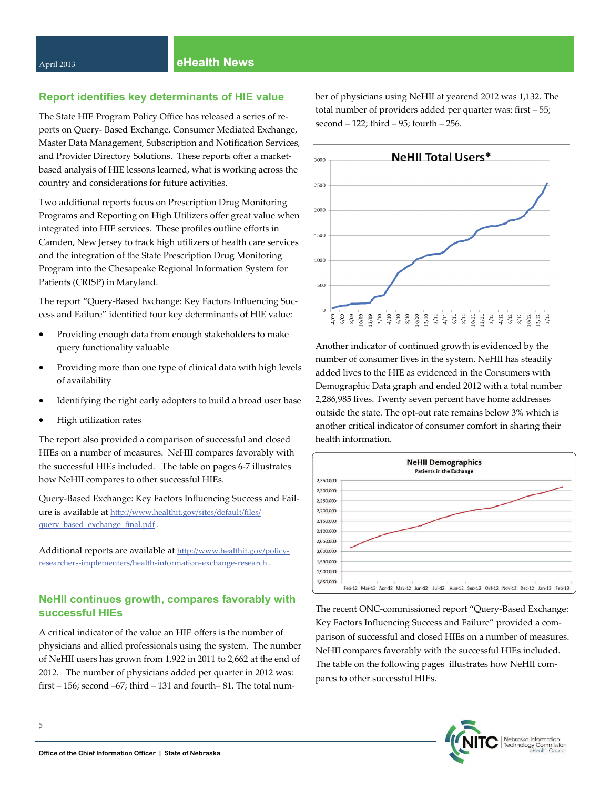## **Report identifies key determinants of HIE value**

The State HIE Program Policy Office has released a series of re‐ ports on Query‐ Based Exchange, Consumer Mediated Exchange, Master Data Management, Subscription and Notification Services, and Provider Directory Solutions. These reports offer a marketbased analysis of HIE lessons learned, what is working across the country and considerations for future activities.

Two additional reports focus on Prescription Drug Monitoring Programs and Reporting on High Utilizers offer great value when integrated into HIE services. These profiles outline efforts in Camden, New Jersey to track high utilizers of health care services and the integration of the State Prescription Drug Monitoring Program into the Chesapeake Regional Information System for Patients (CRISP) in Maryland.

The report "Query‐Based Exchange: Key Factors Influencing Suc‐ cess and Failure" identified four key determinants of HIE value:

- Providing enough data from enough stakeholders to make query functionality valuable
- Providing more than one type of clinical data with high levels of availability
- Identifying the right early adopters to build a broad user base
- High utilization rates

The report also provided a comparison of successful and closed HIEs on a number of measures. NeHII compares favorably with the successful HIEs included. The table on pages 6‐7 illustrates how NeHII compares to other successful HIEs.

Query‐Based Exchange: Key Factors Influencing Success and Fail‐ ure is available at htt[p://www.healthit.gov/sites/default/files/](http://www.healthit.gov/sites/default/files/query_based_exchange_final.pdf) [query\\_based\\_exchange\\_final.pdf](http://www.healthit.gov/sites/default/files/query_based_exchange_final.pdf).

Additional reports are available at htt[p://www.healthit.gov/policy](http://www.healthit.gov/policy-researchers-implementers/health-information-exchange-research)researchers‐[implementers/health](http://www.healthit.gov/policy-researchers-implementers/health-information-exchange-research)‐information‐exchange‐research .

## **NeHII continues growth, compares favorably with successful HIEs**

A critical indicator of the value an HIE offers is the number of physicians and allied professionals using the system. The number of NeHII users has grown from 1,922 in 2011 to 2,662 at the end of 2012. The number of physicians added per quarter in 2012 was: first – 156; second –67; third – 131 and fourth– 81. The total num‐

ber of physicians using NeHII at yearend 2012 was 1,132. The total number of providers added per quarter was: first – 55; second – 122; third – 95; fourth – 256.



Another indicator of continued growth is evidenced by the number of consumer lives in the system. NeHII has steadily added lives to the HIE as evidenced in the Consumers with Demographic Data graph and ended 2012 with a total number 2,286,985 lives. Twenty seven percent have home addresses outside the state. The opt‐out rate remains below 3% which is another critical indicator of consumer comfort in sharing their health information.



The recent ONC‐commissioned report "Query‐Based Exchange: Key Factors Influencing Success and Failure" provided a comparison of successful and closed HIEs on a number of measures. NeHII compares favorably with the successful HIEs included. The table on the following pages illustrates how NeHII compares to other successful HIEs.

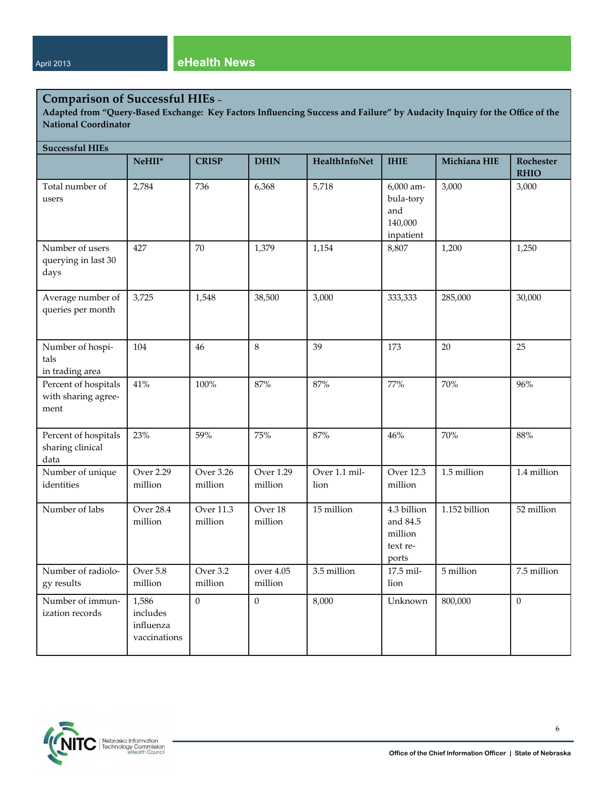# **Comparison of Successful HIEs –**

Adapted from "Query-Based Exchange: Key Factors Influencing Success and Failure" by Audacity Inquiry for the Office of the **National Coordinator**

| <b>Successful HIEs</b>                              |                                                |                             |                             |                       |                                                         |               |                          |
|-----------------------------------------------------|------------------------------------------------|-----------------------------|-----------------------------|-----------------------|---------------------------------------------------------|---------------|--------------------------|
|                                                     | NeHII*                                         | <b>CRISP</b>                | <b>DHIN</b>                 | HealthInfoNet         | <b>IHIE</b>                                             | Michiana HIE  | Rochester<br><b>RHIO</b> |
| Total number of<br>users                            | 2,784                                          | 736                         | 6,368                       | 5,718                 | 6,000 am-<br>bula-tory<br>and<br>140,000<br>inpatient   | 3,000         | 3,000                    |
| Number of users<br>querying in last 30<br>days      | 427                                            | 70                          | 1,379                       | 1,154                 | 8,807                                                   | 1,200         | 1,250                    |
| Average number of<br>queries per month              | 3,725                                          | 1,548                       | 38,500                      | 3,000                 | 333,333                                                 | 285,000       | 30,000                   |
| Number of hospi-<br>tals<br>in trading area         | 104                                            | 46                          | $\,8\,$                     | 39                    | 173                                                     | 20            | 25                       |
| Percent of hospitals<br>with sharing agree-<br>ment | 41%                                            | 100%                        | 87%                         | 87%                   | 77%                                                     | 70%           | 96%                      |
| Percent of hospitals<br>sharing clinical<br>data    | 23%                                            | 59%                         | 75%                         | 87%                   | 46%                                                     | 70%           | 88%                      |
| Number of unique<br>identities                      | <b>Over 2.29</b><br>million                    | <b>Over 3.26</b><br>million | <b>Over 1.29</b><br>million | Over 1.1 mil-<br>lion | <b>Over 12.3</b><br>million                             | 1.5 million   | 1.4 million              |
| Number of labs                                      | <b>Over 28.4</b><br>million                    | <b>Over 11.3</b><br>million | Over 18<br>million          | 15 million            | 4.3 billion<br>and 84.5<br>million<br>text re-<br>ports | 1.152 billion | 52 million               |
| Number of radiolo-<br>gy results                    | Over 5.8<br>million                            | Over 3.2<br>million         | over 4.05<br>million        | 3.5 million           | 17.5 mil-<br>lion                                       | 5 million     | 7.5 million              |
| Number of immun-<br>ization records                 | 1,586<br>includes<br>influenza<br>vaccinations | $\mathbf{0}$                | $\overline{0}$              | 8,000                 | Unknown                                                 | 800,000       | $\mathbf{0}$             |